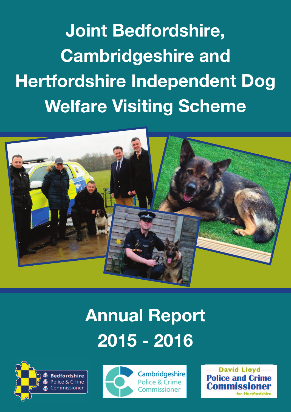**Joint Bedfordshire, Cambridgeshire and Hertfordshire Independent Dog Welfare Visiting Scheme**



# **Annual Report 2015 - 2016**





Cambridgeshire Police & Crime Commissioner

**David Lloyd Police and C**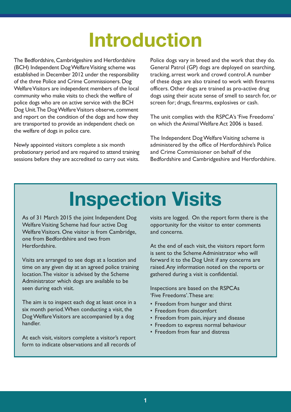### **Introduction**

The Bedfordshire, Cambridgeshire and Hertfordshire (BCH) Independent Dog Welfare Visiting scheme was established in December 2012 under the responsibility of the three Police and Crime Commissioners.Dog Welfare Visitors are independent members of the local community who make visits to check the welfare of police dogs who are on active service with the BCH Dog Unit. The Dog Welfare Visitors observe, comment and report on the condition of the dogs and how they are transported to provide an independent check on the welfare of dogs in police care.

Newly appointed visitors complete a six month probationary period and are required to attend training sessions before they are accredited to carry out visits. Police dogs vary in breed and the work that they do. General Patrol (GP) dogs are deployed on searching, tracking, arrest work and crowd control.A number of these dogs are also trained to work with firearms officers. Other dogs are trained as pro-active drug dogs using their acute sense of smell to search for, or screen for; drugs, firearms, explosives or cash.

The unit complies with the RSPCA's'Five Freedoms' on which the AnimalWelfare Act 2006 is based.

The Independent Dog Welfare Visiting scheme is administered by the office of Hertfordshire's Police and Crime Commissioner on behalf of the Bedfordshire and Cambridgeshire and Hertfordshire.

# **Inspection Visits**

As of 31 March 2015 the joint Independent Dog Welfare Visiting Scheme had four active Dog Welfare Visitors. One visitor is from Cambridge, one from Bedfordshire and two from Hertfordshire.

Visits are arranged to see dogs at a location and time on any given day at an agreed police training location.The visitor is advised by the Scheme Administrator which dogs are available to be seen during each visit.

The aim is to inspect each dog at least once in a six month period.When conducting a visit, the Dog Welfare Visitors are accompanied by a dog handler.

At each visit, visitors complete a visitor's report form to indicate observations and all records of visits are logged. On the report form there is the opportunity for the visitor to enter comments and concerns.

At the end of each visit, the visitors report form is sent to the Scheme Administrator who will forward it to the Dog Unit if any concerns are raised.Any information noted on the reports or gathered during a visit is confidential.

Inspections are based on the RSPCAs 'Five Freedoms'.These are:

- Freedom from hunger and thirst
- Freedom from discomfort
- Freedom from pain, injury and disease
- Freedom to express normal behaviour
- Freedom from fear and distress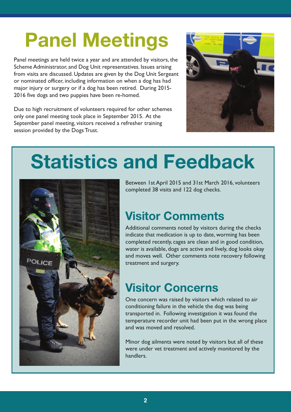# **Panel Meetings**

Panel meetings are held twice a year and are attended by visitors, the Scheme Administrator, and Dog Unit representatives. Issues arising from visits are discussed. Updates are given by the Dog Unit Sergeant or nominated officer, including information on when a dog has had major injury or surgery or if a dog has been retired. During 2015- 2016 five dogs and two puppies have been re-homed.

Due to high recruitment of volunteers required for other schemes only one panel meeting took place in September 2015. At the September panel meeting, visitors received a refresher training session provided by the Dogs Trust.



# **Statistics and Feedback**



Between 1st April 2015 and 31st March 2016, volunteers completed 38 visits and 122 dog checks.

#### **Visitor Comments**

Additional comments noted by visitors during the checks indicate that medication is up to date, worming has been completed recently, cages are clean and in good condition, water is available, dogs are active and lively, dog looks okay and moves well. Other comments note recovery following treatment and surgery.

#### **Visitor Concerns**

One concern was raised by visitors which related to air conditioning failure in the vehicle the dog was being transported in. Following investigation it was found the temperature recorder unit had been put in the wrong place and was moved and resolved.

Minor dog ailments were noted by visitors but all of these were under vet treatment and actively monitored by the handlers.